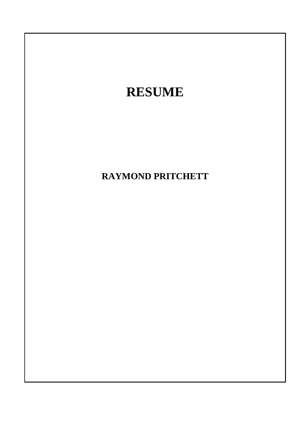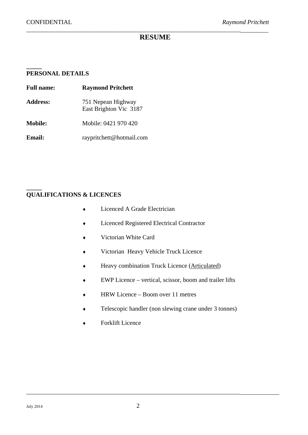**\_\_\_\_\_** 

## *\_\_\_\_\_\_\_\_\_\_\_\_\_\_\_\_\_\_\_\_\_\_\_\_\_\_\_\_\_\_\_\_\_\_\_\_\_\_\_\_\_\_\_\_\_\_\_\_\_\_\_\_\_\_\_\_\_\_\_\_\_\_\_\_\_\_\_\_\_*  **RESUME**

## **PERSONAL DETAILS**

| <b>Full name:</b> | <b>Raymond Pritchett</b>                     |  |  |
|-------------------|----------------------------------------------|--|--|
| <b>Address:</b>   | 751 Nepean Highway<br>East Brighton Vic 3187 |  |  |
| <b>Mobile:</b>    | Mobile: 0421 970 420                         |  |  |
| Email:            | raypritchett@hotmail.com                     |  |  |

## **\_\_\_\_\_ QUALIFICATIONS & LICENCES**

- ◆ Licenced A Grade Electrician
- Licenced Registered Electrical Contractor
- Victorian White Card
- Victorian Heavy Vehicle Truck Licence
- Heavy combination Truck Licence (Articulated)
- EWP Licence vertical, scissor, boom and trailer lifts
- ◆ HRW Licence Boom over 11 metres
- Telescopic handler (non slewing crane under 3 tonnes)
- Forklift Licence

\_\_\_\_\_\_\_\_\_\_\_\_\_\_\_\_\_\_\_\_\_\_\_\_\_\_\_\_\_\_\_\_\_\_\_\_\_\_\_\_\_\_\_\_\_\_\_\_\_\_\_\_\_\_\_\_\_\_\_\_\_\_\_\_\_\_\_\_\_